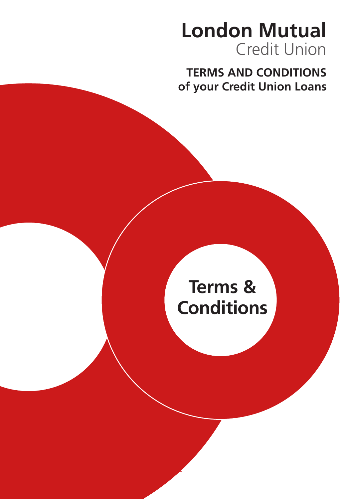## **London Mutual** Credit Union

**TERMS AND CONDITIONS of your Credit Union Loans**

# **Terms & Conditions**

 $\overline{a}$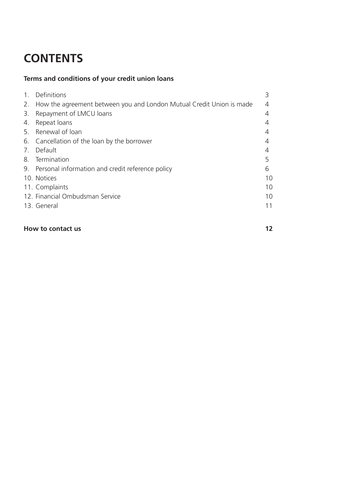### **CONTENTS**

#### **Terms and conditions of your credit union loans**

| $\mathbf{1}$ . | Definitions                                                             |    |
|----------------|-------------------------------------------------------------------------|----|
|                | 2. How the agreement between you and London Mutual Credit Union is made | 4  |
|                | 3. Repayment of LMCU loans                                              | 4  |
| 4.             | Repeat loans                                                            |    |
|                | 5. Renewal of loan                                                      |    |
|                | 6. Cancellation of the loan by the borrower                             |    |
|                | 7. Default                                                              |    |
|                | 8. Termination                                                          | 5  |
|                | 9. Personal information and credit reference policy                     | 6  |
|                | 10. Notices                                                             | 10 |
|                | 11. Complaints                                                          | 10 |
|                | 12. Financial Ombudsman Service                                         | 10 |
|                | 13. General                                                             | 11 |
|                |                                                                         |    |

#### **How to contact us 12**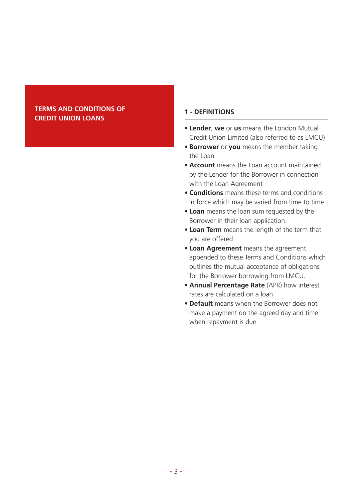#### **TERMS AND CONDITIONS OF CREDIT UNION LOANS**

#### **1 - DEFINITIONS**

- **• Lender**, **we** or **us** means the London Mutual Credit Union Limited (also referred to as LMCU)
- **• Borrower** or **you** means the member taking the Loan
- **• Account** means the Loan account maintained by the Lender for the Borrower in connection with the Loan Agreement
- **• Conditions** means these terms and conditions in force which may be varied from time to time
- **• Loan** means the loan sum requested by the Borrower in their loan application.
- **• Loan Term** means the length of the term that you are offered
- **• Loan Agreement** means the agreement appended to these Terms and Conditions which outlines the mutual acceptance of obligations for the Borrower borrowing from LMCU.
- **• Annual Percentage Rate** (APR) how interest rates are calculated on a loan
- **• Default** means when the Borrower does not make a payment on the agreed day and time when repayment is due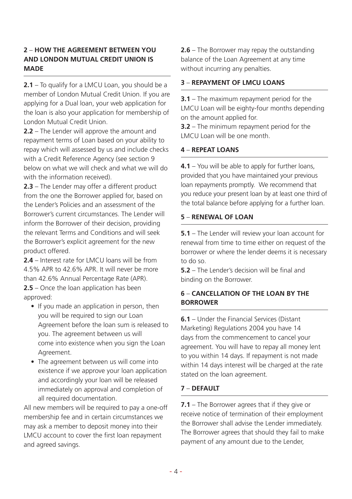#### **2** – **HOW THE AGREEMENT BETWEEN YOU AND LONDON MUTUAL CREDIT UNION IS MADE**

**2.1** – To qualify for a LMCU Loan, you should be a member of London Mutual Credit Union. If you are applying for a Dual loan, your web application for the loan is also your application for membership of London Mutual Credit Union.

**2.2** – The Lender will approve the amount and repayment terms of Loan based on your ability to repay which will assessed by us and include checks with a Credit Reference Agency (see section 9 below on what we will check and what we will do with the information received).

**2.3** – The Lender may offer a different product from the one the Borrower applied for, based on the Lender's Policies and an assessment of the Borrower's current circumstances. The Lender will inform the Borrower of their decision, providing the relevant Terms and Conditions and will seek the Borrower's explicit agreement for the new product offered.

**2.4** – Interest rate for LMCU loans will be from 4.5% APR to 42.6% APR. It will never be more than 42.6% Annual Percentage Rate (APR). **2.5** – Once the loan application has been annroved:

- If you made an application in person, then you will be required to sign our Loan Agreement before the loan sum is released to you. The agreement between us will come into existence when you sign the Loan Agreement.
- The agreement between us will come into existence if we approve your loan application and accordingly your loan will be released immediately on approval and completion of all required documentation.

All new members will be required to pay a one-off membership fee and in certain circumstances we may ask a member to deposit money into their LMCU account to cover the first loan repayment and agreed savings.

**2.6** – The Borrower may repay the outstanding balance of the Loan Agreement at any time without incurring any penalties.

#### **3** – **REPAYMENT OF LMCU LOANS**

**3.1** – The maximum repayment period for the LMCU Loan will be eighty-four months depending on the amount applied for.

**3.2** – The minimum repayment period for the LMCU Loan will be one month.

#### **4** – **REPEAT LOANS**

**4.1** – You will be able to apply for further loans, provided that you have maintained your previous loan repayments promptly. We recommend that you reduce your present loan by at least one third of the total balance before applying for a further loan.

#### **5** – **RENEWAL OF LOAN**

**5.1** – The Lender will review your loan account for renewal from time to time either on request of the borrower or where the lender deems it is necessary to do so.

**5.2** – The Lender's decision will be final and binding on the Borrower.

#### **6** – **CANCELLATION OF THE LOAN BY THE BORROWER**

**6.1** – Under the Financial Services (Distant Marketing) Regulations 2004 you have 14 days from the commencement to cancel your agreement. You will have to repay all money lent to you within 14 days. If repayment is not made within 14 days interest will be charged at the rate stated on the loan agreement.

#### **7** – **DEFAULT**

**7.1** – The Borrower agrees that if they give or receive notice of termination of their employment the Borrower shall advise the Lender immediately. The Borrower agrees that should they fail to make payment of any amount due to the Lender,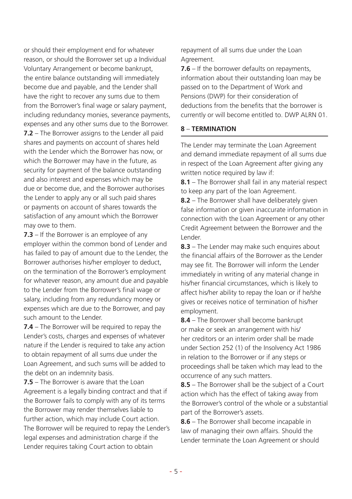or should their employment end for whatever reason, or should the Borrower set up a Individual Voluntary Arrangement or become bankrupt, the entire balance outstanding will immediately become due and payable, and the Lender shall have the right to recover any sums due to them from the Borrower's final wage or salary payment, including redundancy monies, severance payments, expenses and any other sums due to the Borrower. **7.2** – The Borrower assigns to the Lender all paid shares and payments on account of shares held with the Lender which the Borrower has now, or which the Borrower may have in the future, as security for payment of the balance outstanding and also interest and expenses which may be due or become due, and the Borrower authorises the Lender to apply any or all such paid shares or payments on account of shares towards the satisfaction of any amount which the Borrower may owe to them.

**7.3** – If the Borrower is an employee of any employer within the common bond of Lender and has failed to pay of amount due to the Lender, the Borrower authorises his/her employer to deduct, on the termination of the Borrower's employment for whatever reason, any amount due and payable to the Lender from the Borrower's final wage or salary, including from any redundancy money or expenses which are due to the Borrower, and pay such amount to the Lender.

**7.4** – The Borrower will be required to repay the Lender's costs, charges and expenses of whatever nature if the Lender is required to take any action to obtain repayment of all sums due under the Loan Agreement, and such sums will be added to the debt on an indemnity basis.

**7.5** – The Borrower is aware that the Loan Agreement is a legally binding contract and that if the Borrower fails to comply with any of its terms the Borrower may render themselves liable to further action, which may include Court action. The Borrower will be required to repay the Lender's legal expenses and administration charge if the Lender requires taking Court action to obtain

repayment of all sums due under the Loan Agreement.

**7.6** – If the borrower defaults on repayments, information about their outstanding loan may be passed on to the Department of Work and Pensions (DWP) for their consideration of deductions from the benefits that the borrower is currently or will become entitled to. DWP ALRN 01.

#### **8** – **TERMINATION**

The Lender may terminate the Loan Agreement and demand immediate repayment of all sums due in respect of the Loan Agreement after giving any written notice required by law if:

**8.1** – The Borrower shall fail in any material respect to keep any part of the loan Agreement.

**8.2** – The Borrower shall have deliberately given false information or given inaccurate information in connection with the Loan Agreement or any other Credit Agreement between the Borrower and the Lender.

**8.3** – The Lender may make such enquires about the financial affairs of the Borrower as the Lender may see fit. The Borrower will inform the Lender immediately in writing of any material change in his/her financial circumstances, which is likely to affect his/her ability to repay the loan or if he/she gives or receives notice of termination of his/her employment.

**8.4** – The Borrower shall become bankrupt or make or seek an arrangement with his/ her creditors or an interim order shall be made under Section 252 (1) of the Insolvency Act 1986 in relation to the Borrower or if any steps or proceedings shall be taken which may lead to the occurrence of any such matters.

**8.5** – The Borrower shall be the subject of a Court action which has the effect of taking away from the Borrower's control of the whole or a substantial part of the Borrower's assets.

**8.6** – The Borrower shall become incapable in law of managing their own affairs. Should the Lender terminate the Loan Agreement or should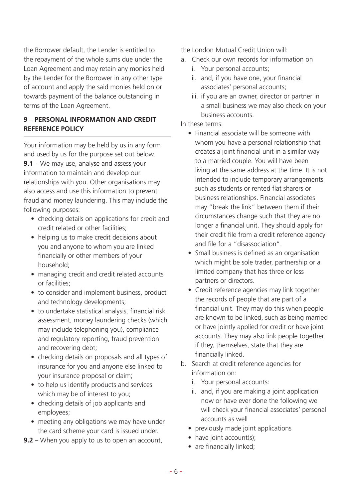the Borrower default, the Lender is entitled to the repayment of the whole sums due under the Loan Agreement and may retain any monies held by the Lender for the Borrower in any other type of account and apply the said monies held on or towards payment of the balance outstanding in terms of the Loan Agreement.

#### **9** – **PERSONAL INFORMATION AND CREDIT REFERENCE POLICY**

Your information may be held by us in any form and used by us for the purpose set out below. **9.1** – We may use, analyse and assess your information to maintain and develop our relationships with you. Other organisations may also access and use this information to prevent fraud and money laundering. This may include the following purposes:

- checking details on applications for credit and credit related or other facilities;
- helping us to make credit decisions about you and anyone to whom you are linked financially or other members of your household;
- managing credit and credit related accounts or facilities;
- to consider and implement business, product and technology developments;
- to undertake statistical analysis, financial risk assessment, money laundering checks (which may include telephoning you), compliance and regulatory reporting, fraud prevention and recovering debt;
- checking details on proposals and all types of insurance for you and anyone else linked to your insurance proposal or claim;
- to help us identify products and services which may be of interest to you;
- checking details of job applicants and employees;
- meeting any obligations we may have under the card scheme your card is issued under.
- **9.2** When you apply to us to open an account,

the London Mutual Credit Union will:

- a. Check our own records for information on
	- i. Your personal accounts;
	- ii. and, if you have one, your financial associates' personal accounts;
	- iii. if you are an owner, director or partner in a small business we may also check on your business accounts.

#### In these terms:

- Financial associate will be someone with whom you have a personal relationship that creates a joint financial unit in a similar way to a married couple. You will have been living at the same address at the time. It is not intended to include temporary arrangements such as students or rented flat sharers or business relationships. Financial associates may "break the link" between them if their circumstances change such that they are no longer a financial unit. They should apply for their credit file from a credit reference agency and file for a "disassociation".
- Small business is defined as an organisation which might be sole trader, partnership or a limited company that has three or less partners or directors.
- Credit reference agencies may link together the records of people that are part of a financial unit. They may do this when people are known to be linked, such as being married or have jointly applied for credit or have joint accounts. They may also link people together if they, themselves, state that they are financially linked.
- b. Search at credit reference agencies for information on:
	- i. Your personal accounts:
	- ii. and, if you are making a joint application now or have ever done the following we will check your financial associates' personal accounts as well
	- previously made joint applications
	- have joint account(s);
	- are financially linked: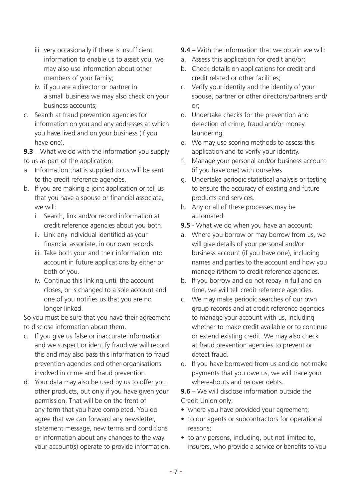- iii. very occasionally if there is insufficient information to enable us to assist you, we may also use information about other members of your family;
- iv. if you are a director or partner in a small business we may also check on your business accounts;
- c. Search at fraud prevention agencies for information on you and any addresses at which you have lived and on your business (if you have one).

**9.3** – What we do with the information you supply to us as part of the application:

- a. Information that is supplied to us will be sent to the credit reference agencies.
- b. If you are making a joint application or tell us that you have a spouse or financial associate, we will:
	- i. Search, link and/or record information at credit reference agencies about you both.
	- ii. Link any individual identified as your financial associate, in our own records.
	- iii. Take both your and their information into account in future applications by either or both of you.
	- iv. Continue this linking until the account closes, or is changed to a sole account and one of you notifies us that you are no longer linked.

So you must be sure that you have their agreement to disclose information about them.

- c. If you give us false or inaccurate information and we suspect or identify fraud we will record this and may also pass this information to fraud prevention agencies and other organisations involved in crime and fraud prevention.
- d. Your data may also be used by us to offer you other products, but only if you have given your permission. That will be on the front of any form that you have completed. You do agree that we can forward any newsletter, statement message, new terms and conditions or information about any changes to the way your account(s) operate to provide information.
- **9.4**  With the information that we obtain we will:
- a. Assess this application for credit and/or;
- b. Check details on applications for credit and credit related or other facilities;
- c. Verify your identity and the identity of your spouse, partner or other directors/partners and/ or;
- d. Undertake checks for the prevention and detection of crime, fraud and/or money laundering.
- e. We may use scoring methods to assess this application and to verify your identity.
- f. Manage your personal and/or business account (if you have one) with ourselves.
- g. Undertake periodic statistical analysis or testing to ensure the accuracy of existing and future products and services.
- h. Any or all of these processes may be automated.
- **9.5** What we do when you have an account:
- a. Where you borrow or may borrow from us, we will give details of your personal and/or business account (if you have one), including names and parties to the account and how you manage it/them to credit reference agencies.
- b. If you borrow and do not repay in full and on time, we will tell credit reference agencies.
- c. We may make periodic searches of our own group records and at credit reference agencies to manage your account with us, including whether to make credit available or to continue or extend existing credit. We may also check at fraud prevention agencies to prevent or detect fraud.
- d. If you have borrowed from us and do not make payments that you owe us, we will trace your whereabouts and recover debts.

**9.6** – We will disclose information outside the Credit Union only:

- where you have provided your agreement;
- to our agents or subcontractors for operational reasons;
- to any persons, including, but not limited to, insurers, who provide a service or benefits to you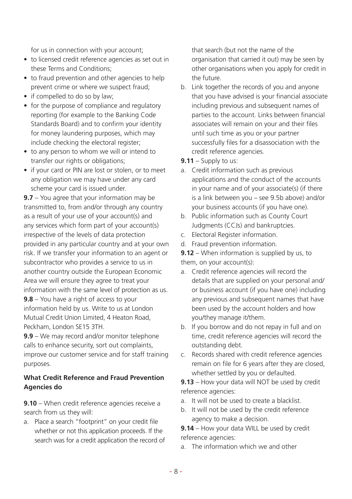for us in connection with your account;

- to licensed credit reference agencies as set out in these Terms and Conditions;
- to fraud prevention and other agencies to help prevent crime or where we suspect fraud;
- if compelled to do so by law;
- for the purpose of compliance and regulatory reporting (for example to the Banking Code Standards Board) and to confirm your identity for money laundering purposes, which may include checking the electoral register;
- to any person to whom we will or intend to transfer our rights or obligations:
- if your card or PIN are lost or stolen, or to meet any obligation we may have under any card scheme your card is issued under.

**9.7** – You agree that your information may be transmitted to, from and/or through any country as a result of your use of your account(s) and any services which form part of your account(s) irrespective of the levels of data protection provided in any particular country and at your own risk. If we transfer your information to an agent or subcontractor who provides a service to us in another country outside the European Economic Area we will ensure they agree to treat your information with the same level of protection as us. **9.8** – You have a right of access to your information held by us. Write to us at London Mutual Credit Union Limited, 4 Heaton Road, Peckham, London SE15 3TH.

**9.9** – We may record and/or monitor telephone calls to enhance security, sort out complaints, improve our customer service and for staff training purposes.

#### **What Credit Reference and Fraud Prevention Agencies do**

**9.10** – When credit reference agencies receive a search from us they will:

a. Place a search "footprint" on your credit file whether or not this application proceeds. If the search was for a credit application the record of

that search (but not the name of the organisation that carried it out) may be seen by other organisations when you apply for credit in the future.

- b. Link together the records of you and anyone that you have advised is your financial associate including previous and subsequent names of parties to the account. Links between financial associates will remain on your and their files until such time as you or your partner successfully files for a disassociation with the credit reference agencies.
- **9.11**  Supply to us:
- a. Credit information such as previous applications and the conduct of the accounts in your name and of your associate(s) (if there is a link between you – see 9.5b above) and/or your business accounts (if you have one).
- b. Public information such as County Court Judgments (CCJs) and bankruptcies.
- c. Electoral Register information.
- d. Fraud prevention information.

**9.12** – When information is supplied by us, to them, on your account(s):

- a. Credit reference agencies will record the details that are supplied on your personal and/ or business account (if you have one) including any previous and subsequent names that have been used by the account holders and how you/they manage it/them.
- b. If you borrow and do not repay in full and on time, credit reference agencies will record the outstanding debt.
- c. Records shared with credit reference agencies remain on file for 6 years after they are closed, whether settled by you or defaulted.

**9.13** – How your data will NOT be used by credit reference agencies:

- a. It will not be used to create a blacklist.
- b. It will not be used by the credit reference agency to make a decision.

**9.14** – How your data WILL be used by credit reference agencies:

a. The information which we and other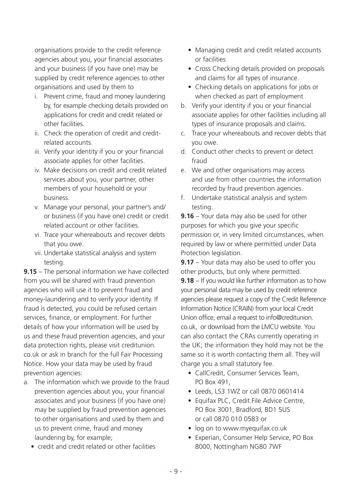organisations provide to the credit reference agencies about you, your financial associates and your business (if you have one) may be supplied by credit reference agencies to other organisations and used by them to

- i. Prevent crime, fraud and money laundering by, for example checking details provided on applications for credit and credit related or other facilities.
- ii. Check the operation of credit and creditrelated accounts.
- iii. Verify your identity if you or your financial associate applies for other facilities.
- iv. Make decisions on credit and credit related services about you, your partner, other members of your household or your business.
- v. Manage your personal, your partner's and/ or business (if you have one) credit or credit related account or other facilities.
- vi. Trace your whereabouts and recover debts that you owe.
- vii. Undertake statistical analysis and system testing.

**9.15** – The personal information we have collected from you will be shared with fraud prevention agencies who will use it to prevent fraud and money-laundering and to verify your identity. If fraud is detected, you could be refused certain services, finance, or employment. For further details of how your information will be used by us and these fraud prevention agencies, and your data protection rights, please visit creditunion. co.uk or ask in branch for the full Fair Processing Notice. How your data may be used by fraud prevention agencies:

- a. The information which we provide to the fraud prevention agencies about you, your financial associates and your business (if you have one) may be supplied by fraud prevention agencies to other organisations and used by them and us to prevent crime, fraud and money laundering by, for example;
	- credit and credit related or other facilities
- Managing credit and credit related accounts or facilities
- Cross Checking details provided on proposals and claims for all types of insurance.
- Checking details on applications for jobs or when checked as part of employment
- b. Verify your identity if you or your financial associate applies for other facilities including all types of insurance proposals and claims.
- c. Trace your whereabouts and recover debts that you owe.
- d. Conduct other checks to prevent or detect fraud
- e. We and other organisations may access and use from other countries the information recorded by fraud prevention agencies.
- f. Undertake statistical analysis and system testing.

**9.16** – Your data may also be used for other purposes for which you give your specific permission or, in very limited circumstances, when required by law or where permitted under Data Protection legislation.

**9.17** – Your data may also be used to offer you other products, but only where permitted.

**9.18** – If you would like further information as to how your personal data may be used by credit reference agencies please request a copy of the Credit Reference Information Notice (CRAIN) from your local Credit Union office, email a request to info@creditunion. co.uk, or download from the LMCU website. You can also contact the CRAs currently operating in the UK; the information they hold may not be the same so it is worth contacting them all. They will charge you a small statutory fee.

- CallCredit, Consumer Services Team, PO Box 491,
- Leeds, LS3 1WZ or call 0870 0601414
- Equifax PLC, Credit File Advice Centre, PO Box 3001, Bradford, BD1 5US or call 0870 010 0583 or
- log on to www.myequifax.co.uk
- Experian, Consumer Help Service, PO Box 8000, Nottingham NG80 7WF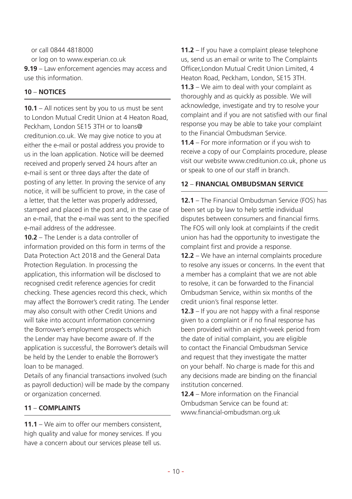or call 0844 4818000

or log on to www.experian.co.uk

**9.19** – Law enforcement agencies may access and use this information.

#### **10** – **NOTICES**

**10.1** – All notices sent by you to us must be sent to London Mutual Credit Union at 4 Heaton Road, Peckham, London SE15 3TH or to loans@ creditunion.co.uk. We may give notice to you at either the e-mail or postal address you provide to us in the loan application. Notice will be deemed received and properly served 24 hours after an e-mail is sent or three days after the date of posting of any letter. In proving the service of any notice, it will be sufficient to prove, in the case of a letter, that the letter was properly addressed, stamped and placed in the post and, in the case of an e-mail, that the e-mail was sent to the specified e-mail address of the addressee.

**10.2** – The Lender is a data controller of information provided on this form in terms of the Data Protection Act 2018 and the General Data Protection Regulation. In processing the application, this information will be disclosed to recognised credit reference agencies for credit checking. These agencies record this check, which may affect the Borrower's credit rating. The Lender may also consult with other Credit Unions and will take into account information concerning the Borrower's employment prospects which the Lender may have become aware of. If the application is successful, the Borrower's details will be held by the Lender to enable the Borrower's loan to be managed.

Details of any financial transactions involved (such as payroll deduction) will be made by the company or organization concerned.

#### **11** – **COMPLAINTS**

**11.1** – We aim to offer our members consistent, high quality and value for money services. If you have a concern about our services please tell us.

**11.2** – If you have a complaint please telephone us, send us an email or write to The Complaints Officer,London Mutual Credit Union Limited, 4 Heaton Road, Peckham, London, SE15 3TH. **11.3** – We aim to deal with your complaint as thoroughly and as quickly as possible. We will acknowledge, investigate and try to resolve your complaint and if you are not satisfied with our final response you may be able to take your complaint to the Financial Ombudsman Service.

**11.4** – For more information or if you wish to receive a copy of our Complaints procedure, please visit our website www.creditunion.co.uk, phone us or speak to one of our staff in branch.

#### **12** – **FINANCIAL OMBUDSMAN SERVICE**

**12.1** – The Financial Ombudsman Service (FOS) has been set up by law to help settle individual disputes between consumers and financial firms. The FOS will only look at complaints if the credit union has had the opportunity to investigate the complaint first and provide a response.

**12.2** – We have an internal complaints procedure to resolve any issues or concerns. In the event that a member has a complaint that we are not able to resolve, it can be forwarded to the Financial Ombudsman Service, within six months of the credit union's final response letter.

**12.3** – If you are not happy with a final response given to a complaint or if no final response has been provided within an eight-week period from the date of initial complaint, you are eligible to contact the Financial Ombudsman Service and request that they investigate the matter on your behalf. No charge is made for this and any decisions made are binding on the financial institution concerned.

**12.4** – More information on the Financial Ombudsman Service can be found at: www.financial-ombudsman.org.uk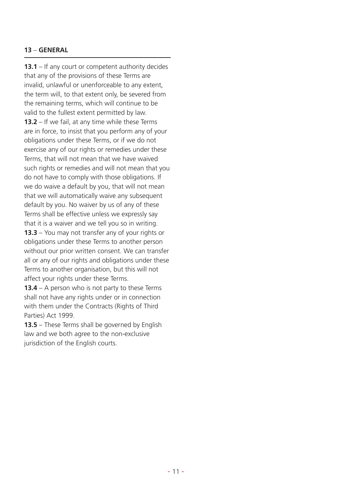#### **13** – **GENERAL**

**13.1** – If any court or competent authority decides that any of the provisions of these Terms are invalid, unlawful or unenforceable to any extent, the term will, to that extent only, be severed from the remaining terms, which will continue to be valid to the fullest extent permitted by law. **13.2** – If we fail, at any time while these Terms are in force, to insist that you perform any of your obligations under these Terms, or if we do not exercise any of our rights or remedies under these Terms, that will not mean that we have waived such rights or remedies and will not mean that you do not have to comply with those obligations. If we do waive a default by you, that will not mean that we will automatically waive any subsequent default by you. No waiver by us of any of these Terms shall be effective unless we expressly say that it is a waiver and we tell you so in writing. **13.3** – You may not transfer any of your rights or obligations under these Terms to another person without our prior written consent. We can transfer

all or any of our rights and obligations under these Terms to another organisation, but this will not affect your rights under these Terms.

**13.4** – A person who is not party to these Terms shall not have any rights under or in connection with them under the Contracts (Rights of Third Parties) Act 1999.

**13.5** – These Terms shall be governed by English law and we both agree to the non-exclusive jurisdiction of the English courts.